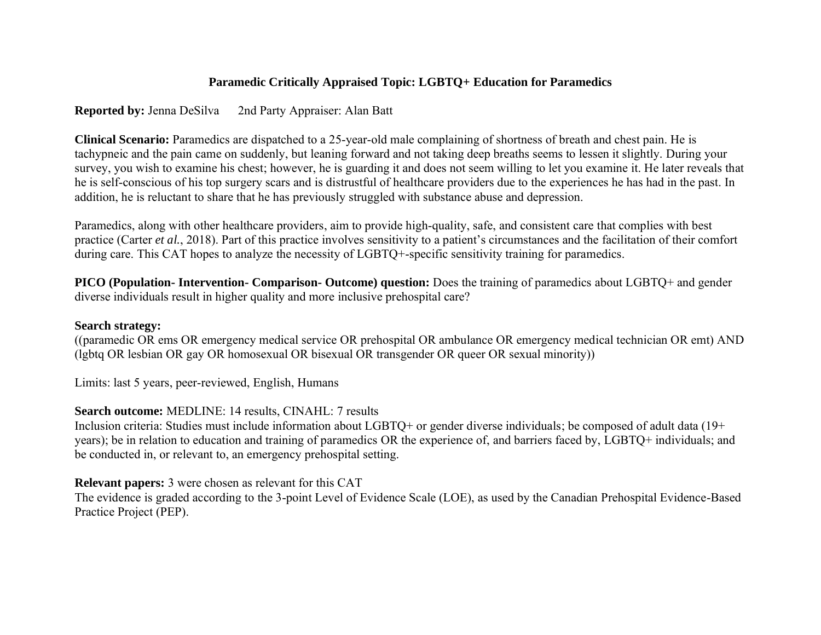# **Paramedic Critically Appraised Topic: LGBTQ+ Education for Paramedics**

**Reported by:** Jenna DeSilva 2nd Party Appraiser: Alan Batt

**Clinical Scenario:** Paramedics are dispatched to a 25-year-old male complaining of shortness of breath and chest pain. He is tachypneic and the pain came on suddenly, but leaning forward and not taking deep breaths seems to lessen it slightly. During your survey, you wish to examine his chest; however, he is guarding it and does not seem willing to let you examine it. He later reveals that he is self-conscious of his top surgery scars and is distrustful of healthcare providers due to the experiences he has had in the past. In addition, he is reluctant to share that he has previously struggled with substance abuse and depression.

Paramedics, along with other healthcare providers, aim to provide high-quality, safe, and consistent care that complies with best practice (Carter *et al.*, 2018). Part of this practice involves sensitivity to a patient's circumstances and the facilitation of their comfort during care. This CAT hopes to analyze the necessity of LGBTQ+-specific sensitivity training for paramedics.

**PICO (Population- Intervention- Comparison- Outcome) question:** Does the training of paramedics about LGBTQ+ and gender diverse individuals result in higher quality and more inclusive prehospital care?

## **Search strategy:**

((paramedic OR ems OR emergency medical service OR prehospital OR ambulance OR emergency medical technician OR emt) AND (lgbtq OR lesbian OR gay OR homosexual OR bisexual OR transgender OR queer OR sexual minority))

Limits: last 5 years, peer-reviewed, English, Humans

### **Search outcome:** MEDLINE: 14 results, CINAHL: 7 results

Inclusion criteria: Studies must include information about LGBTQ+ or gender diverse individuals; be composed of adult data (19+ years); be in relation to education and training of paramedics OR the experience of, and barriers faced by, LGBTQ+ individuals; and be conducted in, or relevant to, an emergency prehospital setting.

## **Relevant papers:** 3 were chosen as relevant for this CAT

The evidence is graded according to the 3-point Level of Evidence Scale (LOE), as used by the Canadian Prehospital Evidence-Based Practice Project (PEP).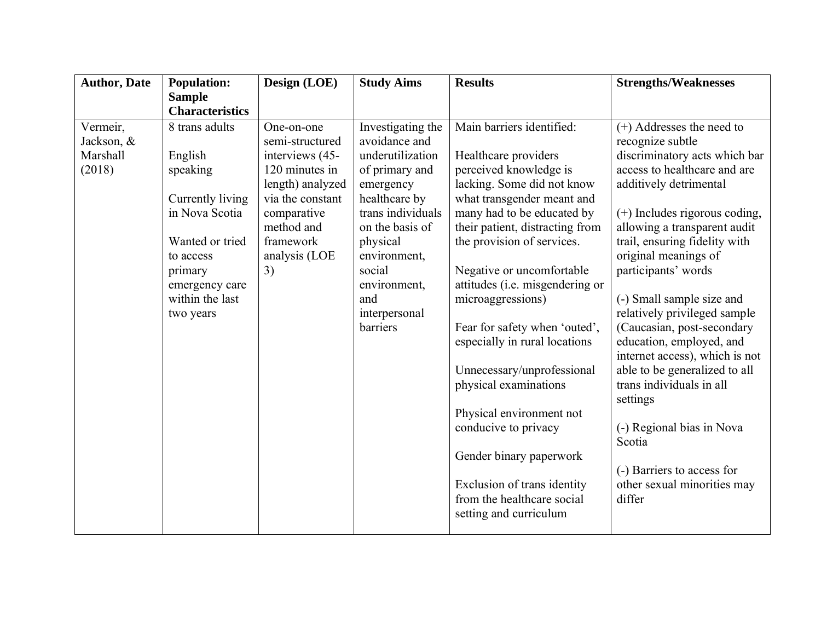| <b>Author, Date</b> | <b>Population:</b>                | Design (LOE)     | <b>Study Aims</b>   | <b>Results</b>                                       | <b>Strengths/Weaknesses</b>     |
|---------------------|-----------------------------------|------------------|---------------------|------------------------------------------------------|---------------------------------|
|                     | <b>Sample</b>                     |                  |                     |                                                      |                                 |
|                     | <b>Characteristics</b>            |                  |                     |                                                      |                                 |
| Vermeir,            | 8 trans adults                    | One-on-one       | Investigating the   | Main barriers identified:                            | $(+)$ Addresses the need to     |
| Jackson, &          |                                   | semi-structured  | avoidance and       |                                                      | recognize subtle                |
| Marshall            | English                           | interviews (45-  | underutilization    | Healthcare providers                                 | discriminatory acts which bar   |
| (2018)              | speaking                          | 120 minutes in   | of primary and      | perceived knowledge is                               | access to healthcare and are    |
|                     |                                   | length) analyzed | emergency           | lacking. Some did not know                           | additively detrimental          |
|                     | Currently living                  | via the constant | healthcare by       | what transgender meant and                           |                                 |
|                     | in Nova Scotia                    | comparative      | trans individuals   | many had to be educated by                           | $(+)$ Includes rigorous coding, |
|                     |                                   | method and       | on the basis of     | their patient, distracting from                      | allowing a transparent audit    |
|                     | Wanted or tried                   | framework        | physical            | the provision of services.                           | trail, ensuring fidelity with   |
|                     | to access                         | analysis (LOE    | environment,        |                                                      | original meanings of            |
|                     | primary                           | 3)               | social              | Negative or uncomfortable                            | participants' words             |
|                     | emergency care<br>within the last |                  | environment,<br>and | attitudes (i.e. misgendering or<br>microaggressions) | (-) Small sample size and       |
|                     | two years                         |                  | interpersonal       |                                                      | relatively privileged sample    |
|                     |                                   |                  | barriers            | Fear for safety when 'outed',                        | (Caucasian, post-secondary      |
|                     |                                   |                  |                     | especially in rural locations                        | education, employed, and        |
|                     |                                   |                  |                     |                                                      | internet access), which is not  |
|                     |                                   |                  |                     | Unnecessary/unprofessional                           | able to be generalized to all   |
|                     |                                   |                  |                     | physical examinations                                | trans individuals in all        |
|                     |                                   |                  |                     |                                                      | settings                        |
|                     |                                   |                  |                     | Physical environment not                             |                                 |
|                     |                                   |                  |                     | conducive to privacy                                 | (-) Regional bias in Nova       |
|                     |                                   |                  |                     |                                                      | Scotia                          |
|                     |                                   |                  |                     | Gender binary paperwork                              |                                 |
|                     |                                   |                  |                     |                                                      | (-) Barriers to access for      |
|                     |                                   |                  |                     | Exclusion of trans identity                          | other sexual minorities may     |
|                     |                                   |                  |                     | from the healthcare social                           | differ                          |
|                     |                                   |                  |                     | setting and curriculum                               |                                 |
|                     |                                   |                  |                     |                                                      |                                 |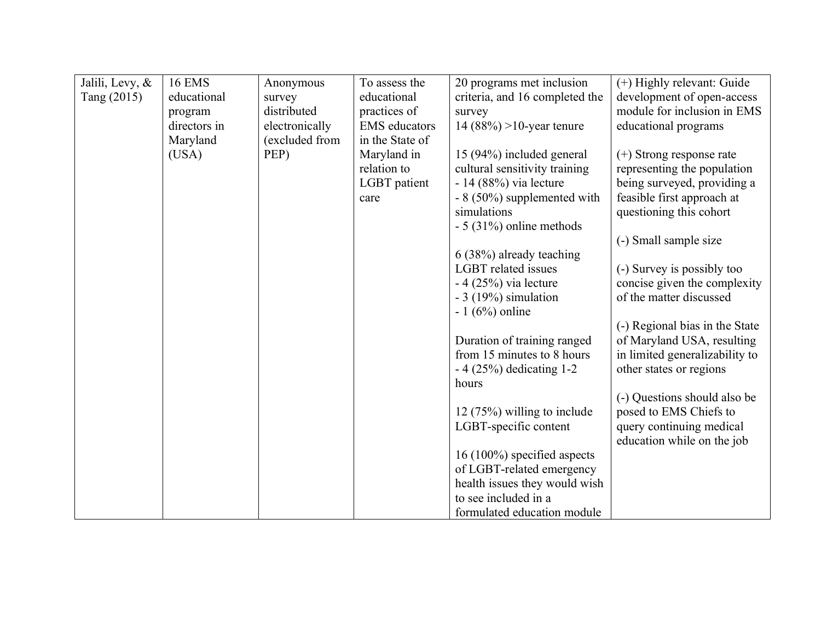| Jalili, Levy, & | <b>16 EMS</b> | Anonymous      | To assess the        | 20 programs met inclusion      | (+) Highly relevant: Guide     |
|-----------------|---------------|----------------|----------------------|--------------------------------|--------------------------------|
| Tang (2015)     | educational   | survey         | educational          | criteria, and 16 completed the | development of open-access     |
|                 | program       | distributed    | practices of         | survey                         | module for inclusion in EMS    |
|                 | directors in  | electronically | <b>EMS</b> educators | 14 $(88\%) > 10$ -year tenure  | educational programs           |
|                 | Maryland      | (excluded from | in the State of      |                                |                                |
|                 | (USA)         | PEP)           | Maryland in          | 15 (94%) included general      | $(+)$ Strong response rate     |
|                 |               |                | relation to          | cultural sensitivity training  | representing the population    |
|                 |               |                | LGBT patient         | $-14(88%)$ via lecture         | being surveyed, providing a    |
|                 |               |                | care                 | - 8 (50%) supplemented with    | feasible first approach at     |
|                 |               |                |                      | simulations                    | questioning this cohort        |
|                 |               |                |                      | $-5$ (31%) online methods      |                                |
|                 |               |                |                      |                                | (-) Small sample size          |
|                 |               |                |                      | 6 (38%) already teaching       |                                |
|                 |               |                |                      | <b>LGBT</b> related issues     | (-) Survey is possibly too     |
|                 |               |                |                      | $-4(25%)$ via lecture          | concise given the complexity   |
|                 |               |                |                      | $-3(19%)$ simulation           | of the matter discussed        |
|                 |               |                |                      | $-1(6%)$ online                |                                |
|                 |               |                |                      |                                | (-) Regional bias in the State |
|                 |               |                |                      | Duration of training ranged    | of Maryland USA, resulting     |
|                 |               |                |                      | from 15 minutes to 8 hours     | in limited generalizability to |
|                 |               |                |                      | $-4(25%)$ dedicating 1-2       | other states or regions        |
|                 |               |                |                      | hours                          |                                |
|                 |               |                |                      |                                | (-) Questions should also be   |
|                 |               |                |                      | $12(75%)$ willing to include   | posed to EMS Chiefs to         |
|                 |               |                |                      | LGBT-specific content          | query continuing medical       |
|                 |               |                |                      |                                | education while on the job     |
|                 |               |                |                      | 16 (100%) specified aspects    |                                |
|                 |               |                |                      | of LGBT-related emergency      |                                |
|                 |               |                |                      | health issues they would wish  |                                |
|                 |               |                |                      | to see included in a           |                                |
|                 |               |                |                      | formulated education module    |                                |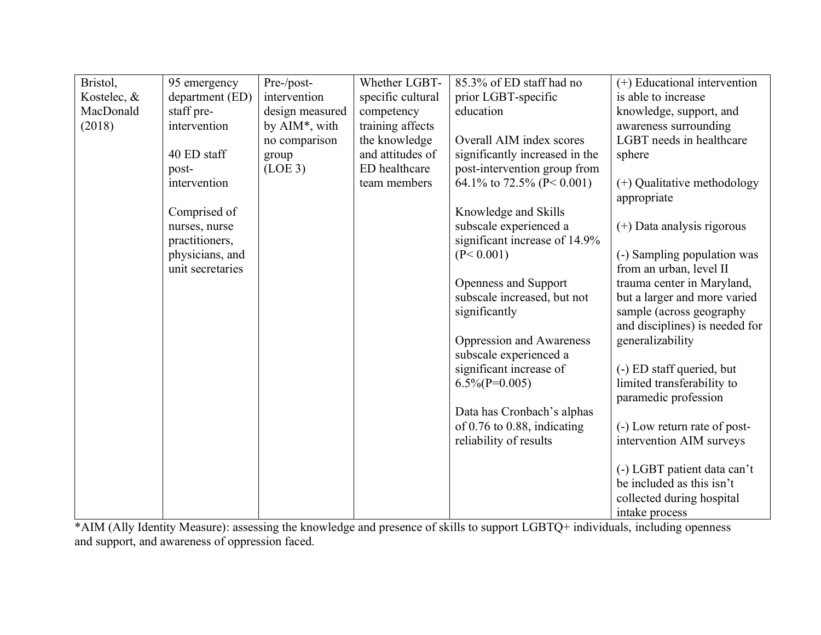| Bristol,    | 95 emergency     | Pre-/post-               | Whether LGBT-     | 85.3% of ED staff had no         | (+) Educational intervention   |
|-------------|------------------|--------------------------|-------------------|----------------------------------|--------------------------------|
| Kostelec, & | department (ED)  | intervention             | specific cultural | prior LGBT-specific              | is able to increase            |
| MacDonald   | staff pre-       | design measured          | competency        | education                        | knowledge, support, and        |
| (2018)      | intervention     | by $\text{AIM}^*$ , with | training affects  |                                  | awareness surrounding          |
|             |                  | no comparison            | the knowledge     | Overall AIM index scores         | LGBT needs in healthcare       |
|             | 40 ED staff      | group                    | and attitudes of  | significantly increased in the   | sphere                         |
|             | post-            | (LOE 3)                  | ED healthcare     | post-intervention group from     |                                |
|             | intervention     |                          | team members      | 64.1\% to 72.5\% (P < 0.001)     | (+) Qualitative methodology    |
|             |                  |                          |                   |                                  | appropriate                    |
|             | Comprised of     |                          |                   | Knowledge and Skills             |                                |
|             | nurses, nurse    |                          |                   | subscale experienced a           | $(+)$ Data analysis rigorous   |
|             | practitioners,   |                          |                   | significant increase of 14.9%    |                                |
|             | physicians, and  |                          |                   | (P < 0.001)                      | (-) Sampling population was    |
|             | unit secretaries |                          |                   |                                  | from an urban, level II        |
|             |                  |                          |                   | Openness and Support             | trauma center in Maryland,     |
|             |                  |                          |                   | subscale increased, but not      | but a larger and more varied   |
|             |                  |                          |                   | significantly                    | sample (across geography)      |
|             |                  |                          |                   |                                  | and disciplines) is needed for |
|             |                  |                          |                   | Oppression and Awareness         | generalizability               |
|             |                  |                          |                   | subscale experienced a           |                                |
|             |                  |                          |                   | significant increase of          | (-) ED staff queried, but      |
|             |                  |                          |                   | $6.5\%$ (P=0.005)                | limited transferability to     |
|             |                  |                          |                   |                                  | paramedic profession           |
|             |                  |                          |                   | Data has Cronbach's alphas       |                                |
|             |                  |                          |                   | of $0.76$ to $0.88$ , indicating | (-) Low return rate of post-   |
|             |                  |                          |                   | reliability of results           | intervention AIM surveys       |
|             |                  |                          |                   |                                  |                                |
|             |                  |                          |                   |                                  | (-) LGBT patient data can't    |
|             |                  |                          |                   |                                  | be included as this isn't      |
|             |                  |                          |                   |                                  | collected during hospital      |
|             |                  |                          |                   |                                  | intake process                 |

\*AIM (Ally Identity Measure): assessing the knowledge and presence of skills to support LGBTQ+ individuals, including openness and support, and awareness of oppression faced.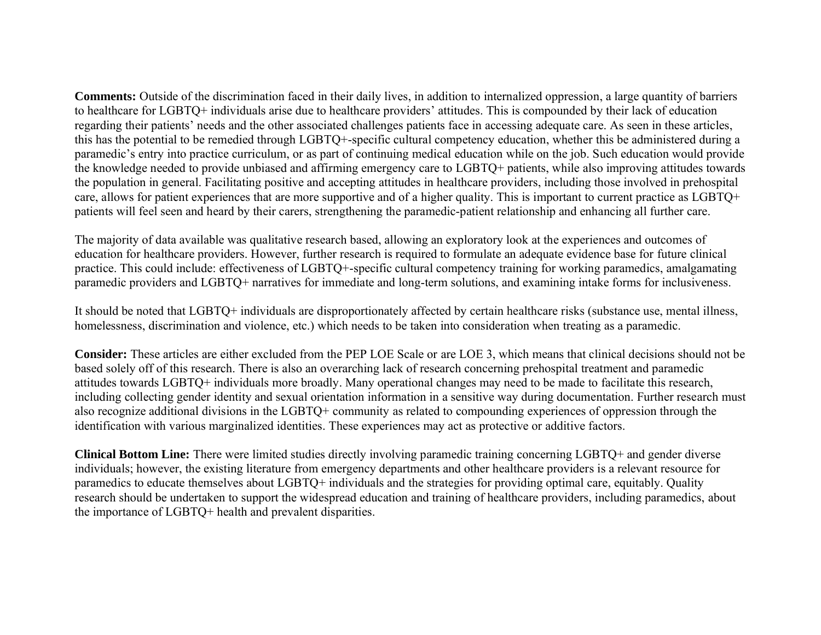**Comments:** Outside of the discrimination faced in their daily lives, in addition to internalized oppression, a large quantity of barriers to healthcare for LGBTQ+ individuals arise due to healthcare providers' attitudes. This is compounded by their lack of education regarding their patients' needs and the other associated challenges patients face in accessing adequate care. As seen in these articles, this has the potential to be remedied through LGBTQ+-specific cultural competency education, whether this be administered during a paramedic's entry into practice curriculum, or as part of continuing medical education while on the job. Such education would provide the knowledge needed to provide unbiased and affirming emergency care to LGBTQ+ patients, while also improving attitudes towards the population in general. Facilitating positive and accepting attitudes in healthcare providers, including those involved in prehospital care, allows for patient experiences that are more supportive and of a higher quality. This is important to current practice as LGBTQ+ patients will feel seen and heard by their carers, strengthening the paramedic-patient relationship and enhancing all further care.

The majority of data available was qualitative research based, allowing an exploratory look at the experiences and outcomes of education for healthcare providers. However, further research is required to formulate an adequate evidence base for future clinical practice. This could include: effectiveness of LGBTQ+-specific cultural competency training for working paramedics, amalgamating paramedic providers and LGBTQ+ narratives for immediate and long-term solutions, and examining intake forms for inclusiveness.

It should be noted that LGBTQ+ individuals are disproportionately affected by certain healthcare risks (substance use, mental illness, homelessness, discrimination and violence, etc.) which needs to be taken into consideration when treating as a paramedic.

**Consider:** These articles are either excluded from the PEP LOE Scale or are LOE 3, which means that clinical decisions should not be based solely off of this research. There is also an overarching lack of research concerning prehospital treatment and paramedic attitudes towards LGBTQ+ individuals more broadly. Many operational changes may need to be made to facilitate this research, including collecting gender identity and sexual orientation information in a sensitive way during documentation. Further research must also recognize additional divisions in the LGBTQ+ community as related to compounding experiences of oppression through the identification with various marginalized identities. These experiences may act as protective or additive factors.

**Clinical Bottom Line:** There were limited studies directly involving paramedic training concerning LGBTQ+ and gender diverse individuals; however, the existing literature from emergency departments and other healthcare providers is a relevant resource for paramedics to educate themselves about LGBTQ+ individuals and the strategies for providing optimal care, equitably. Quality research should be undertaken to support the widespread education and training of healthcare providers, including paramedics, about the importance of LGBTQ+ health and prevalent disparities.